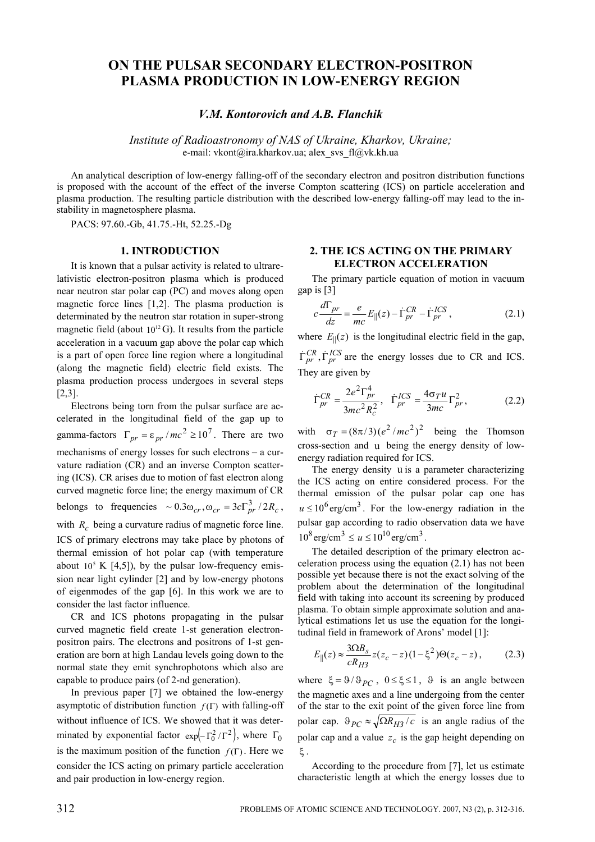# **ON THE PULSAR SECONDARY ELECTRON-POSITRON PLASMA PRODUCTION IN LOW-ENERGY REGION**

*V.M. Kontorovich and A.B. Flanchik* 

*Institute of Radioastronomy of NAS of Ukraine, Kharkov, Ukraine;*  e-mail: vkont@ira.kharkov.ua; alex\_svs\_fl@vk.kh.ua

An analytical description of low-energy falling-off of the secondary electron and positron distribution functions is proposed with the account of the effect of the inverse Compton scattering (ICS) on particle acceleration and plasma production. The resulting particle distribution with the described low-energy falling-off may lead to the instability in magnetosphere plasma.

PACS: 97.60.-Gb, 41.75.-Ht, 52.25.-Dg

# **1. INTRODUCTION**

It is known that a pulsar activity is related to ultrarelativistic electron-positron plasma which is produced near neutron star polar cap (PC) and moves along open magnetic force lines [1,2]. The plasma production is determinated by the neutron star rotation in super-strong magnetic field (about  $10^{12}$  G). It results from the particle acceleration in a vacuum gap above the polar cap which is a part of open force line region where a longitudinal (along the magnetic field) electric field exists. The plasma production process undergoes in several steps [2,3].

Electrons being torn from the pulsar surface are accelerated in the longitudinal field of the gap up to gamma-factors  $\Gamma_{pr} = \varepsilon_{pr} / mc^2 \ge 10^7$ . There are two mechanisms of energy losses for such electrons – a curvature radiation (CR) and an inverse Compton scattering (ICS). CR arises due to motion of fast electron along curved magnetic force line; the energy maximum of CR belongs to frequencies  $\sim 0.3\omega_{cr}, \omega_{cr} = 3c\Gamma_{pr}^3/2R_c$ , with  $R_c$  being a curvature radius of magnetic force line. ICS of primary electrons may take place by photons of thermal emission of hot polar cap (with temperature about  $10^5$  K [4,5]), by the pulsar low-frequency emission near light cylinder [2] and by low-energy photons of eigenmodes of the gap [6]. In this work we are to consider the last factor influence.

CR and ICS photons propagating in the pulsar curved magnetic field create 1-st generation electronpositron pairs. The electrons and positrons of 1-st generation are born at high Landau levels going down to the normal state they emit synchrophotons which also are capable to produce pairs (of 2-nd generation).

In previous paper [7] we obtained the low-energy asymptotic of distribution function  $f(\Gamma)$  with falling-off without influence of ICS. We showed that it was determinated by exponential factor  $\exp(-\Gamma_0^2/\Gamma^2)$ , where  $\Gamma_0$ is the maximum position of the function  $f(\Gamma)$ . Here we consider the ICS acting on primary particle acceleration and pair production in low-energy region.

# **2. THE ICS ACTING ON THE PRIMARY ELECTRON ACCELERATION**

The primary particle equation of motion in vacuum gap is [3]

$$
c\frac{d\Gamma_{pr}}{dz} = \frac{e}{mc}E_{\parallel}(z) - \dot{\Gamma}_{pr}^{CR} - \dot{\Gamma}_{pr}^{ICS},
$$
 (2.1)

where  $E_{\parallel}(z)$  is the longitudinal electric field in the gap,  $\dot{\Gamma}_{pr}^{CR}$ ,  $\dot{\Gamma}_{pr}^{ICS}$  are the energy losses due to CR and ICS. They are given by

$$
\dot{\Gamma}_{pr}^{CR} = \frac{2e^2 \Gamma_{pr}^4}{3mc^2 R_c^2}, \quad \dot{\Gamma}_{pr}^{ICS} = \frac{4\sigma_T u}{3mc} \Gamma_{pr}^2, \tag{2.2}
$$

with  $\sigma_T = (8\pi/3)(e^2/mc^2)^2$  being the Thomson cross-section and u being the energy density of lowenergy radiation required for ICS.

The energy density u is a parameter characterizing the ICS acting on entire considered process. For the thermal emission of the pulsar polar cap one has  $u \le 10^6 \text{ erg/cm}^3$ . For the low-energy radiation in the pulsar gap according to radio observation data we have  $10^8 \text{ erg/cm}^3 \le u \le 10^{10} \text{ erg/cm}^3$ .

The detailed description of the primary electron acceleration process using the equation (2.1) has not been possible yet because there is not the exact solving of the problem about the determination of the longitudinal field with taking into account its screening by produced plasma. To obtain simple approximate solution and analytical estimations let us use the equation for the longitudinal field in framework of Arons' model [1]:

$$
E_{\parallel}(z) \approx \frac{3\Omega B_s}{cR_{H3}} z(z_c - z)(1 - \xi^2)\Theta(z_c - z),
$$
 (2.3)

where  $\xi = 9/9pC$ ,  $0 \le \xi \le 1$ , 9 is an angle between the magnetic axes and a line undergoing from the center of the star to the exit point of the given force line from polar cap.  $\vartheta_{PC} \approx \sqrt{\Omega R_{H3}}/c$  is an angle radius of the polar cap and a value  $z_c$  is the gap height depending on ξ .

According to the procedure from [7], let us estimate characteristic length at which the energy losses due to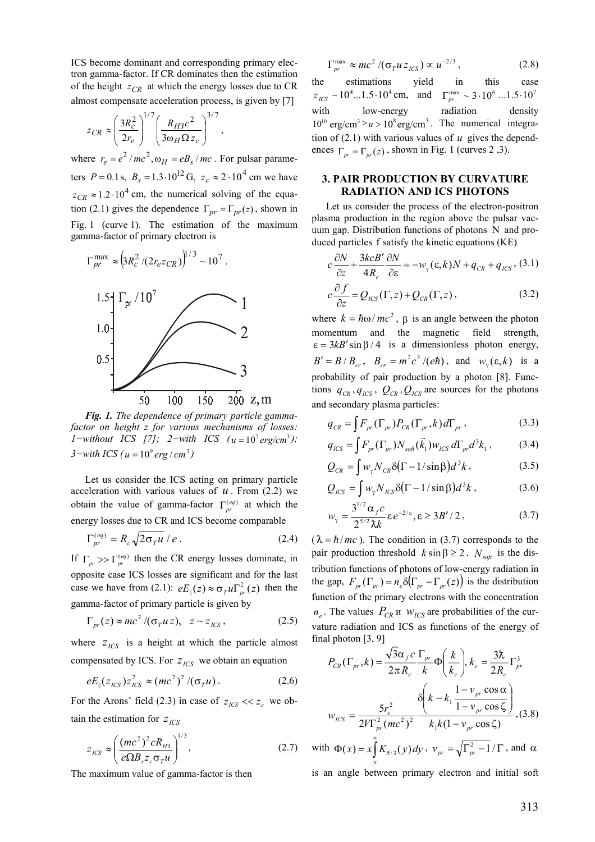ICS become dominant and corresponding primary electron gamma-factor. If CR dominates then the estimation of the height  $z_{CR}$  at which the energy losses due to CR almost compensate acceleration process, is given by [7]

$$
z_{CR} \approx \left(\frac{3R_c^2}{2r_e}\right)^{1/7} \left(\frac{R_{H3}c^2}{3\omega_H\Omega z_c}\right)^{3/7},
$$

where  $r_e = e^2 / mc^2$ ,  $\omega_H = eB_s / mc$ . For pulsar parameters  $P = 0.1$  s,  $B_s = 1.3 \cdot 10^{12}$  G,  $z_c \approx 2 \cdot 10^4$  cm we have  $z_{CR} \approx 1.2 \cdot 10^4$  cm, the numerical solving of the equation (2.1) gives the dependence  $\Gamma_{pr} = \Gamma_{pr}(z)$ , shown in Fig. 1 (curve 1). The estimation of the maximum gamma-factor of primary electron is



*Fig. 1. The dependence of primary particle gammafactor on height z for various mechanisms of losses: 1*−*without ICS* [7]; 2−*with ICS*  $(u = 10^7 \text{ erg/cm}^3)$ ;  $3$ −*with ICS* ( $u = 10^\circ$  *erg* / *cm*<sup>3</sup>)

Let us consider the ICS acting on primary particle acceleration with various values of  $u$ . From (2.2) we obtain the value of gamma-factor  $\Gamma_{pr}^{(eq)}$  at which the energy losses due to CR and ICS become comparable

$$
\Gamma_{pr}^{(eq)} = R_c \sqrt{2\sigma_T u} / e \,. \tag{2.4} \tag{a.1} \tag{h.2}
$$

If  $\Gamma_{pr} \gg \Gamma_{pr}^{(eq)}$  then the CR energy losses dominate, in opposite case ICS losses are significant and for the last case we have from (2.1):  $eE_{\parallel}(z) \approx \sigma_{T} u \Gamma_{pr}^{2}(z)$  then the gamma-factor of primary particle is given by

$$
\Gamma_{pr}(z) \approx mc^2 / (\sigma_T u z), \quad z \sim z_{ICS}, \tag{2.5}
$$

where  $z_{ICS}$  is a height at which the particle almost compensated by ICS. For  $z_{\text{ICS}}$  we obtain an equation

$$
eE_{\parallel}(z_{\rm ICS})z_{\rm ICS}^2 \approx (mc^2)^2/(\sigma_T u). \tag{2.6}
$$

For the Arons' field (2.3) in case of  $z_{\text{ICS}} \ll z_c$  we obtain the estimation for  $z_{\text{ICS}}$ 

$$
z_{ICS} \approx \left(\frac{(mc^2)^2 cR_{H3}}{e\Omega B_s z_c \sigma_T u}\right)^{1/3},
$$
 (2.7) with  $\Phi(x) = x \int_x^{\infty} K$ 

The maximum value of gamma-factor is then

$$
\Gamma_{pr}^{\max} \approx mc^2 / (\sigma_T u z_{ICS}) \propto u^{-2/3}, \qquad (2.8)
$$

the estimations yield in this case  $z_{\text{LCS}} \sim 10^4 ... 1.5 \cdot 10^4 \text{ cm}, \text{ and } \Gamma_{\text{pr}}^{\text{max}} \sim 3 \cdot 10^6 ... 1.5 \cdot 10^7$ with low-energy radiation density  $10^{10}$  erg/cm<sup>3</sup> >  $u > 10^{8}$  erg/cm<sup>3</sup>. The numerical integration of  $(2.1)$  with various values of  $u$  gives the dependences  $\Gamma_{pr} = \Gamma_{pr}(z)$ , shown in Fig. 1 (curves 2,3).

# **3. PAIR PRODUCTION BY CURVATURE RADIATION AND ICS PHOTONS**

Let us consider the process of the electron-positron plasma production in the region above the pulsar vacuum gap. Distribution functions of photons N and produced particles f satisfy the kinetic equations (KE)

$$
c\frac{\partial N}{\partial z} + \frac{3kcB'}{4R_c}\frac{\partial N}{\partial \varepsilon} = -w_{\gamma}(\varepsilon, k)N + q_{CR} + q_{ICS}, (3.1)
$$
  

$$
c\frac{\partial f}{\partial z} = Q_{ICS}(\Gamma, z) + Q_{CR}(\Gamma, z),
$$
 (3.2)

where  $k = \hbar \omega / mc^2$ ,  $\beta$  is an angle between the photon momentum and the magnetic field strength,  $\epsilon = 3kB' \sin \beta / 4$  is a dimensionless photon energy,  $B' = B/B_{cr}$ ,  $B_{cr} = m^2 c^3 / (e\hbar)$ , and  $w_{\gamma}(\varepsilon, k)$  is a probability of pair production by a photon [8]. Functions  $q_{CR}$ ,  $q_{ICS}$ ,  $Q_{CR}$ ,  $Q_{ICS}$  are sources for the photons and secondary plasma particles:

$$
q_{CR} = \int F_{pr}(\Gamma_{pr}) P_{CR}(\Gamma_{pr}, k) d\Gamma_{pr}, \qquad (3.3)
$$

$$
q_{ICS} = \int F_{pr}(\Gamma_{pr}) N_{\text{soft}}(\vec{k}_1) w_{ICS} d\Gamma_{pr} d^3 k_1 , \qquad (3.4)
$$

$$
Q_{CR} = \int w_{\gamma} N_{CR} \delta(\Gamma - 1/\sin \beta) d^3 k, \qquad (3.5)
$$

$$
Q_{ICS} = \int w_{\gamma} N_{ICS} \delta(\Gamma - 1/\sin \beta) d^3 k , \qquad (3.6)
$$

$$
w_{\gamma} = \frac{3^{1/2} \alpha_{f} c}{2^{5/2} \lambda k} \varepsilon e^{-2/\varepsilon}, \varepsilon \ge 3B'/2, \qquad (3.7)
$$

 $(\lambda = \hbar / mc)$ . The condition in (3.7) corresponds to the pair production threshold  $k \sin \beta \geq 2$ .  $N_{\text{soft}}$  is the distribution functions of photons of low-energy radiation in the gap,  $F_{pr}(\Gamma_{pr}) = n_e \delta(\Gamma_{pr} - \Gamma_{pr}(z))$  is the distribution  $n_e$ . The values  $P_{CR}$  *w w*<sub>*ICS*</sub> are probabilities of the curfunction of the primary electrons with the concentration vature radiation and ICS as functions of the energy of final photon [3, 9]

$$
P_{CR}(\Gamma_{pr}, k) = \frac{\sqrt{3}\alpha_f c}{2\pi R_c} \frac{\Gamma_{pr}}{k} \Phi\left(\frac{k}{k_c}\right), k_c = \frac{3\lambda}{2R_c} \Gamma_{pr}^3
$$

$$
w_{ICS} = \frac{5r_c^2}{2V\Gamma_{pr}^2 (mc^2)^2} \frac{8\left(k - k_1 \frac{1 - v_{pr} \cos \alpha}{1 - v_{pr} \cos \zeta}\right)}{k_1 k (1 - v_{pr} \cos \zeta)}, (3.8)
$$

with 
$$
\Phi(x) = x \int_{x}^{x} K_{5/3}(y) dy
$$
,  $v_{pr} = \sqrt{\Gamma_{pr}^2 - 1} / \Gamma$ , and  $\alpha$ 

is an angle between primary electron and initial soft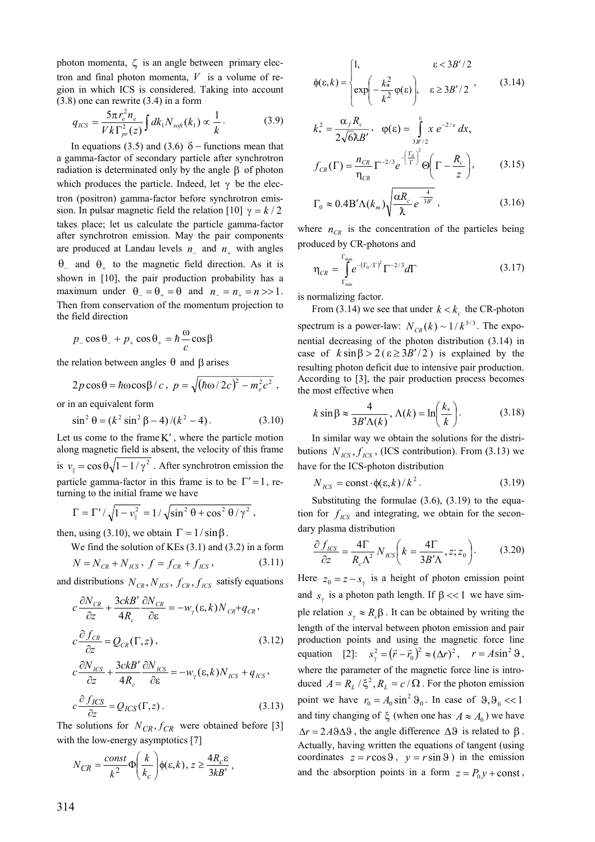photon momenta,  $\zeta$  is an angle between primary electron and final photon momenta, *V* is a volume of region in which ICS is considered. Taking into account (3.8) one can rewrite (3.4) in a form

$$
q_{ICS} = \frac{5\pi r_e^2 n_e}{V k \Gamma_{pr}^2(z)} \int dk_1 N_{\text{soft}}(k_1) \propto \frac{1}{k} \,. \tag{3.9}
$$

In equations (3.5) and (3.6)  $\delta$  – functions mean that are produced at Landau levels  $n_{-}$  and  $n_{+}$  with angles maximum under  $\theta_- = \theta_+ = \theta$  and  $n_- = n_+ = n >> 1$ . a gamma-factor of secondary particle after synchrotron radiation is determinated only by the angle β of photon which produces the particle. Indeed, let  $\gamma$  be the electron (positron) gamma-factor before synchrotron emission. In pulsar magnetic field the relation [10]  $\gamma = k/2$ takes place; let us calculate the particle gamma-factor after synchrotron emission. May the pair components  $\theta$ <sub>-</sub> and  $\theta$ <sub>+</sub> to the magnetic field direction. As it is shown in [10], the pair production probability has a Then from conservation of the momentum projection to the field direction

$$
p_{-}\cos\theta_{-} + p_{+}\cos\theta_{+} = \hbar\frac{\omega}{c}\cos\beta
$$

the relation between angles  $θ$  and  $β$  arises

$$
2p\cos\theta = \hbar\omega\cos\beta/c, \ p = \sqrt{(\hbar\omega/2c)^2 - m_e^2c^2},
$$

or in an equivalent form

$$
\sin^2 \theta = (k^2 \sin^2 \beta - 4)/(k^2 - 4).
$$
 (3.10) *k* sin

is  $v_{\parallel} = \cos \theta \sqrt{1 - 1/\gamma^2}$ . After synchrotron emission the Let us come to the frame  $K'$ , where the particle motion along magnetic field is absent, the velocity of this frame particle gamma-factor in this frame is to be  $\Gamma' = 1$ , returning to the initial frame we have

$$
\Gamma = \Gamma' / \sqrt{1 - v_{\parallel}^2} = 1 / \sqrt{\sin^2 \theta + \cos^2 \theta / \gamma^2},
$$

then, using (3.10), we obtain  $\Gamma = 1/\sin\beta$ .

We find the solution of KEs (3.1) and (3.2) in a form

$$
N = N_{CR} + N_{ICS}, \ f = f_{CR} + f_{ICS}, \tag{3.11}
$$

and distributions  $N_{CR}$ ,  $N_{ICS}$ ,  $f_{CR}$ ,  $f_{ICS}$  satisfy equations

$$
c\frac{\partial N_{CR}}{\partial z} + \frac{3ckB'}{4R_c} \frac{\partial N_{CR}}{\partial \varepsilon} = -w_\gamma(\varepsilon, k) N_{CR} + q_{CR},
$$
  
\n
$$
c\frac{\partial f_{CR}}{\partial z} = Q_{CR}(\Gamma, z),
$$
  
\n
$$
c\frac{\partial N_{ICS}}{\partial z} + \frac{3ckB'}{4R_c} \frac{\partial N_{ICS}}{\partial \varepsilon} = -w_\gamma(\varepsilon, k) N_{ICS} + q_{ICS},
$$

$$
c\frac{\partial f_{ICS}}{\partial z} = Q_{ICS}(\Gamma, z). \tag{3.13}
$$

The solutions for  $N_{CR}$ ,  $f_{CR}$  were obtained before [3] with the low-energy asymptotics [7]

$$
N_{CR} = \frac{\text{const}}{k^2} \Phi\!\left(\frac{k}{k_c}\right) \phi(\varepsilon, k), z \ge \frac{4R_c \varepsilon}{3k B'},
$$

$$
\phi(\varepsilon, k) = \begin{cases} 1, & \varepsilon < 3B'/2 \\ \exp\left(-\frac{k^2}{k^2}\varphi(\varepsilon)\right), & \varepsilon \ge 3B'/2 \end{cases}
$$
 (3.14)

$$
k_*^2 = \frac{\alpha_f R_c}{2\sqrt{6\lambda B'}}, \quad \varphi(\varepsilon) = \int_{3B'/2}^{\varepsilon} x e^{-2/x} dx,
$$

$$
f_{CR}(\Gamma) = \frac{n_{CR}}{n_{CR}} \Gamma^{-2/3} e^{-\left(\frac{\Gamma_0}{\Gamma}\right)^2} \Theta\left(\Gamma - \frac{R_c}{z}\right), \tag{3.15}
$$

$$
\Gamma_0 \approx 0.4 \, \text{B}' \Lambda(k_m) \sqrt{\frac{\alpha R_c}{\hbar} e^{-\frac{4}{3B'}}} \,, \tag{3.16}
$$

where  $n_{CR}$  is the concentration of the particles being produced by CR-photons and

$$
\eta_{CR} = \int_{\Gamma_{\min}}^{\Gamma_{\max}} e^{-(\Gamma_0/\Gamma)^2} \Gamma^{-2/3} d\Gamma
$$
 (3.17)

is normalizing factor.

From (3.14) we see that under  $k < k_c$  the CR-photon spectrum is a power-law:  $N_{CR}(k) \sim 1/k^{5/3}$ . The exponential decreasing of the photon distribution (3.14) in case of  $k \sin \beta > 2$  ( $\epsilon \ge 3B'/2$ ) is explained by the resulting photon deficit due to intensive pair production. According to [3], the pair production process becomes the most effective when

$$
k\sin\beta \approx \frac{4}{3B'\Lambda(k)}, \Lambda(k) = \ln\left(\frac{k_*}{k}\right). \tag{3.18}
$$

In similar way we obtain the solutions for the distributions  $N_{\text{ICS}}$ ,  $f_{\text{ICS}}$ , (ICS contribution). From (3.13) we have for the ICS-photon distribution

$$
N_{ICS} = \text{const} \cdot \phi(\varepsilon, k) / k^2. \tag{3.19}
$$

Substituting the formulae  $(3.6)$ ,  $(3.19)$  to the equation for  $f_{\text{ICS}}$  and integrating, we obtain for the secondary plasma distribution

$$
\frac{\partial f_{ICS}}{\partial z} = \frac{4\Gamma}{R_c \Lambda^2} N_{ICS} \left( k = \frac{4\Gamma}{3B' \Lambda}, z; z_0 \right). \tag{3.20}
$$

 $\frac{\partial f_{ICS}}{\partial \theta} = Q_{ICS}(\Gamma, z)$ . (3.13) point we have  $r_0 = A_0 \sin^2 \theta_0$ . In case of  $\theta, \theta_0 \ll 1$ Here  $z_0 = z - s_\gamma$  is a height of photon emission point and  $s<sub>y</sub>$  is a photon path length. If  $\beta \ll 1$  we have simple relation  $s_\gamma \approx R_c \beta$ . It can be obtained by writing the length of the interval between photon emission and pair production points and using the magnetic force line equation [2]:  $s_y^2 = (\vec{r} - \vec{r}_0)^2 \approx (\Delta r)^2$ ,  $r = A \sin^2 \theta$ , where the parameter of the magnetic force line is introduced  $A = R_L / \xi^2$ ,  $R_L = c / \Omega$ . For the photon emission and tiny changing of  $\xi$  (when one has  $A \approx A_0$ ) we have  $\Delta r = 2A9\Delta\theta$ , the angle difference  $\Delta\theta$  is related to β. Actually, having written the equations of tangent (using coordinates  $z = r \cos \theta$ ,  $y = r \sin \theta$ ) in the emission and the absorption points in a form  $z = P_0 y + const$ ,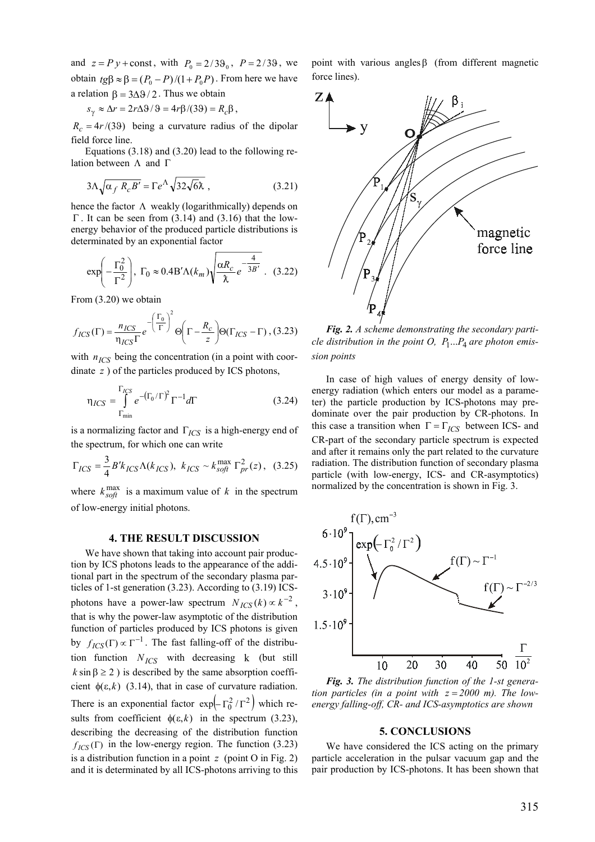and  $z = Py + const$ , with  $P_0 = 2/3\theta_0$ ,  $P = 2/3\theta$ , we obtain *tg*β ≈ β =  $(P_0 - P)/(1 + P_0 P)$ . From here we have a relation  $\beta = 3\Delta\theta/2$ . Thus we obtain

$$
s_{\gamma} \approx \Delta r = 2r\Delta\theta/\theta = 4r\beta/(3\theta) = R_c\beta
$$

 $R_c = 4r/(39)$  being a curvature radius of the dipolar field force line.

,

lation between  $\Lambda$  and  $\Gamma$ Equations  $(3.18)$  and  $(3.20)$  lead to the following re-

$$
3\Lambda \sqrt{\alpha_f R_c B'} = \Gamma e^{\Lambda} \sqrt{32\sqrt{6\lambda}} \,, \tag{3.21}
$$

hence the factor  $\Lambda$  weakly (logarithmically) depends on  $\Gamma$ . It can be seen from (3.14) and (3.16) that the lowenergy behavior of the produced particle distributions is determinated by an exponential factor

$$
\exp\left(-\frac{\Gamma_0^2}{\Gamma^2}\right), \ \Gamma_0 \approx 0.4 \, \text{B}' \Lambda(k_m) \sqrt{\frac{\alpha R_c}{\hbar} e^{-\frac{4}{3B'}}}. \tag{3.22}
$$

From (3.20) we obtain

$$
f_{ICS}(\Gamma) = \frac{n_{ICS}}{n_{ICS}\Gamma} e^{-\left(\frac{\Gamma_0}{\Gamma}\right)^2} \Theta\left(\Gamma - \frac{R_c}{z}\right) \Theta(\Gamma_{ICS} - \Gamma), (3.23)
$$

with  $n_{ICS}$  being the concentration (in a point with coordinate z ) of the particles produced by ICS photons,

$$
\eta_{ICS} = \int_{\Gamma_{\text{min}}}^{\Gamma_{ICS}} e^{-\left(\Gamma_0/\Gamma\right)^2} \Gamma^{-1} d\Gamma \tag{3.24}
$$

is a normalizing factor and  $\Gamma_{ICS}$  is a high-energy end of the spectrum, for which one can write

$$
\Gamma_{ICS} = \frac{3}{4} B' k_{ICS} \Lambda(k_{ICS}), \ k_{ICS} \sim k_{soft}^{max} \Gamma_{pr}^{2}(z), \quad (3.25)
$$

where  $k_{\text{soft}}^{\text{max}}$  is a maximum value of k in the spectrum of low-energy initial photons.

#### **4. THE RESULT DISCUSSION**

We have shown that taking into account pair production by ICS photons leads to the appearance of the additional part in the spectrum of the secondary plasma particles of 1-st generation (3.23). According to (3.19) ICSphotons have a power-law spectrum  $N_{ICS}(k) \propto k^{-2}$ , that is why the power-law asymptotic of the distribution function of particles produced by ICS photons is given by  $f_{ICS}(\Gamma) \propto \Gamma^{-1}$ . The fast falling-off of the distribution function  $N_{ICS}$  with decreasing  $k$  (but still  $k \sin \beta \ge 2$ ) is described by the same absorption coefficient  $\phi(\varepsilon, k)$  (3.14), that in case of curvature radiation. There is an exponential factor  $\exp(-\Gamma_0^2/\Gamma^2)$  which reis a distribution function in a point  $z$  (point O in Fig. 2) sults from coefficient  $\phi(\varepsilon, k)$  in the spectrum (3.23), describing the decreasing of the distribution function  $f_{ICS}(\Gamma)$  in the low-energy region. The function (3.23) and it is determinated by all ICS-photons arriving to this

point with various anglesβ (from different magnetic force lines).



*Fig. 2. A scheme demonstrating the secondary particle distribution in the point O,*  $P_1...P_4$  *are photon emission points* 

this case a transition when  $\Gamma = \Gamma_{ICS}$  between ICS- and In case of high values of energy density of lowenergy radiation (which enters our model as a parameter) the particle production by ICS-photons may predominate over the pair production by CR-photons. In CR-part of the secondary particle spectrum is expected and after it remains only the part related to the curvature radiation. The distribution function of secondary plasma particle (with low-energy, ICS- and CR-asymptotics) normalized by the concentration is shown in Fig. 3.



*Fig. 3. The distribution function of the 1-st generation particles (in a point with*  $z = 2000$  *m). The lowenergy falling-off, CR- and ICS-asymptotics are shown* 

#### **5. CONCLUSIONS**

We have considered the ICS acting on the primary particle acceleration in the pulsar vacuum gap and the pair production by ICS-photons. It has been shown that